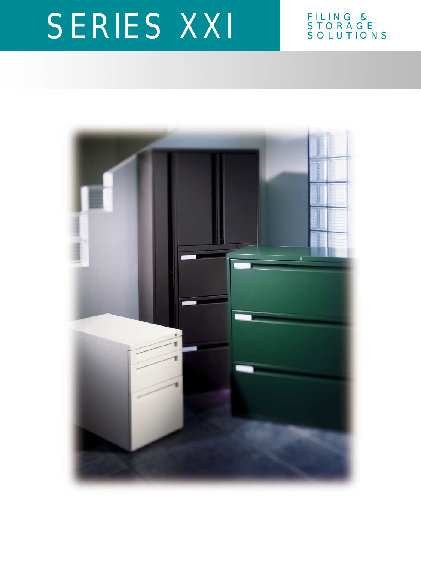### STORAGE SOLUTIONS

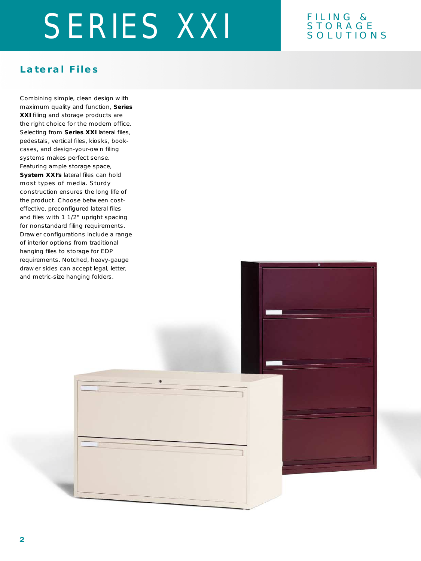#### FILING & STORAGE SOLUTIONS

#### **Lateral Files**

Combining simple, clean design with maximum quality and function, **Series XXI** filing and storage products are the right choice for the modern office. Selecting from **Series XXI** lateral files, pedestals, vertical files, kiosks, bookcases, and design-your-own filing systems makes perfect sense. Featuring ample storage space, **System XXI's** lateral files can hold most types of media. Sturdy construction ensures the long life of the product. Choose between costeffective, preconfigured lateral files and files with 1 1/2" upright spacing for nonstandard filing requirements. Drawer configurations include a range of interior options from traditional hanging files to storage for EDP requirements. Notched, heavy-gauge drawer sides can accept legal, letter, and metric-size hanging folders.

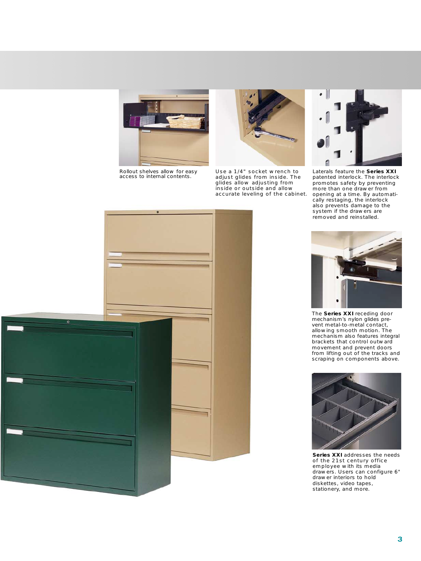Rollout shelves allow for easy access to internal contents.



Use a 1/4" socket wrench to adjust glides from inside. The glides allow adjusting from inside or outside and allow accurate leveling of the cabinet.



Laterals feature the **Series XXI** patented interlock. The interlock promotes safety by preventing more than one drawer from opening at a time. By automatically restaging, the interlock also prevents damage to the system if the drawers are removed and reinstalled.





The **Series XXI** receding door mechanism's nylon glides prevent metal-to-metal contact, allowing smooth motion. The mechanism also features integral brackets that control outward movement and prevent doors from lifting out of the tracks and scraping on components above.



**Series XXI** addresses the needs of the 21st century office employee with its media drawers. Users can configure 6" drawer interiors to hold diskettes, video tapes, stationery, and more.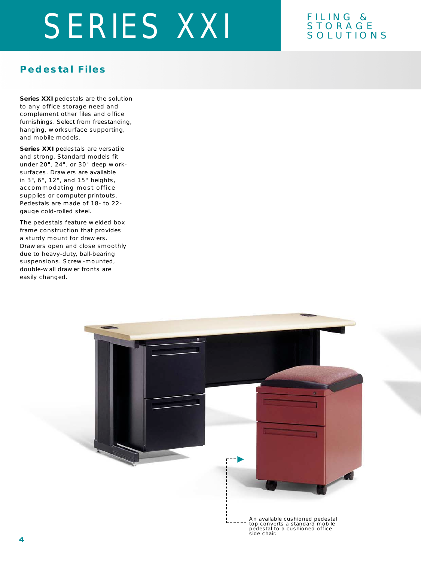#### FILING & STORAGE SOLUTIONS

#### **Pedestal Files**

**Series XXI** pedestals are the solution to any office storage need and complement other files and office furnishings. Select from freestanding, hanging, worksurface supporting, and mobile models.

**Series XXI** pedestals are versatile and strong. Standard models fit under 20", 24", or 30" deep worksurfaces. Drawers are available in 3", 6", 12", and 15" heights, accommodating most office supplies or computer printouts. Pedestals are made of 18- to 22 gauge cold-rolled steel.

The pedestals feature welded box frame construction that provides a sturdy mount for drawers. Drawers open and close smoothly due to heavy-duty, ball-bearing suspensions. Screw-mounted, double-wall drawer fronts are easily changed.

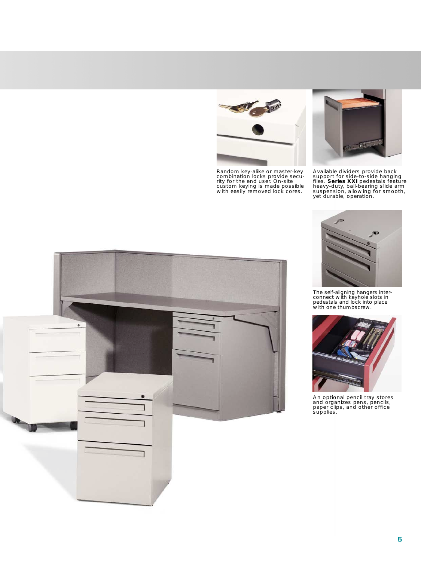

Random key-alike or master-key combination locks provide secu-rity for the end user. On-site custom keying is made possible with easily removed lock cores.



Available dividers provide back<br>support for side-to-side hanging<br>files. **Series XXI** pedestals feature<br>heavy-duty, ball-bearing slide arm<br>suspension, allowing for smooth,<br>yet durable, operation.



The self-aligning hangers inter-connect with keyhole slots in pedestals and lock into place with one thumbscrew.



An optional pencil tray stores and organizes pens, pencils, paper clips, and other office supplies.

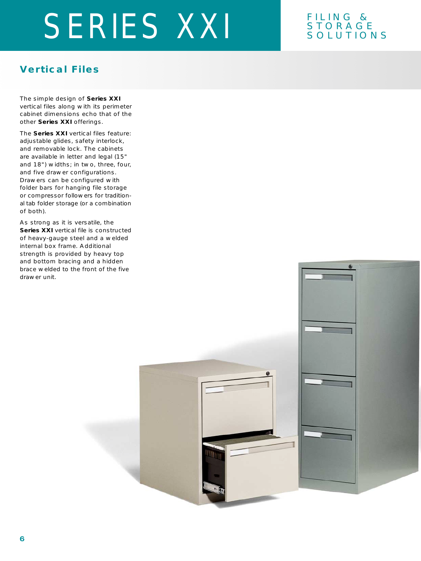#### FILING & STORAGE SOLUTIONS

### **Vertical Files**

The simple design of **Series XXI** vertical files along with its perimeter cabinet dimensions echo that of the other **Series XXI** offerings.

The **Series XXI** vertical files feature: adjustable glides, safety interlock, and removable lock. The cabinets are available in letter and legal (15" and 18") widths; in two, three, four, and five drawer configurations. Drawers can be configured with folder bars for hanging file storage or compressor followers for traditional tab folder storage (or a combination of both).

As strong as it is versatile, the **Series XXI** vertical file is constructed of heavy-gauge steel and a welded internal box frame. Additional strength is provided by heavy top and bottom bracing and a hidden brace welded to the front of the five drawer unit.

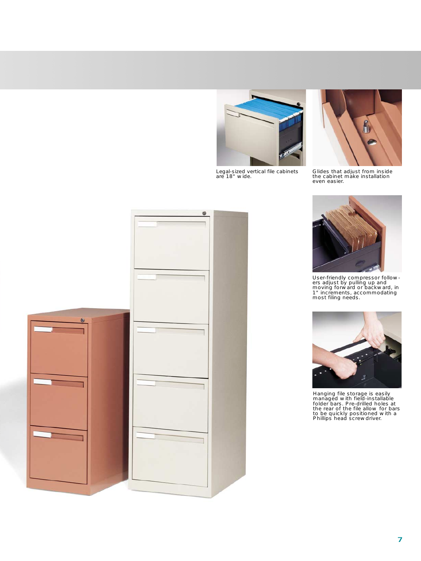Legal-sized vertical file cabinets are 18" wide.



Glides that adjust from inside the cabinet make installation even easier.





User-friendly compressor follow-ers adjust by pulling up and moving forward or backward, in 1" increments, accommodating most filing needs.



Hanging file storage is easily managed with field-installable folder bars. Pre-drilled holes at the rear of the file allow for bars to be quickly positioned with a Phillips head screwdriver.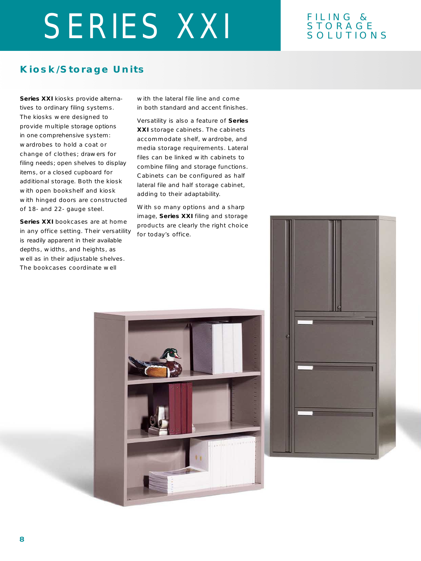#### FILING & STORAGE SOLUTIONS

#### **Kiosk/Storage Units**

**Series XXI** kiosks provide alternatives to ordinary filing systems. The kiosks were designed to provide multiple storage options in one comprehensive system: wardrobes to hold a coat or change of clothes; drawers for filing needs; open shelves to display items, or a closed cupboard for additional storage. Both the kiosk with open bookshelf and kiosk with hinged doors are constructed of 18- and 22- gauge steel.

**Series XXI** bookcases are at home in any office setting. Their versatility is readily apparent in their available depths, widths, and heights, as well as in their adjustable shelves. The bookcases coordinate well

with the lateral file line and come in both standard and accent finishes.

Versatility is also a feature of **Series XXI** storage cabinets. The cabinets accommodate shelf, wardrobe, and media storage requirements. Lateral files can be linked with cabinets to combine filing and storage functions. Cabinets can be configured as half lateral file and half storage cabinet, adding to their adaptability.

With so many options and a sharp image, **Series XXI** filing and storage products are clearly the right choice for today's office.



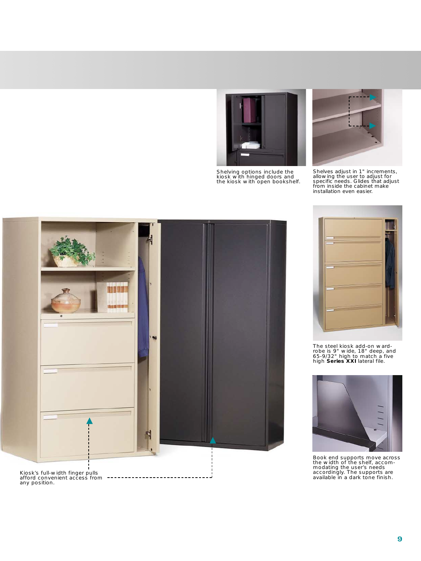

Shelving options include the kiosk with hinged doors and the kiosk with open bookshelf.



Shelves adjust in 1" increments, allowing the user to adjust for specific needs. Glides that adjust from inside the cabinet make installation even easier.





The steel kiosk add-on ward-robe is 9" wide, 18" deep, and 65-9/32" high to match a five high **Series XXI** lateral file.



Book end supports move across the width of the shelf, accom-modating the user's needs accordingly. The supports are available in a dark tone finish.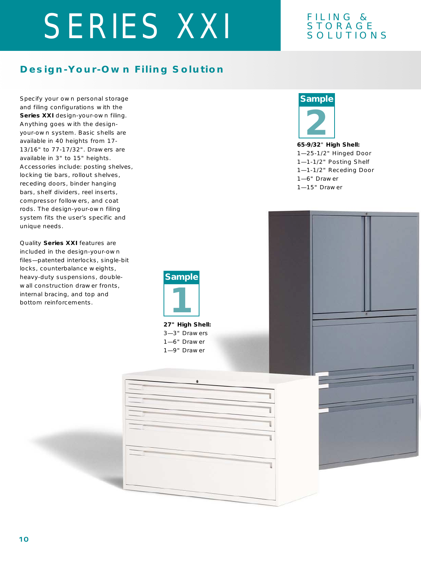#### FILING & STORAGE SOLUTIONS

### **Design-Your-Own Filing Solution**

Specify your own personal storage and filing configurations with the **Series XXI** design-your-own filing. Anything goes with the designyour-own system. Basic shells are available in 40 heights from 17- 13/16" to 77-17/32". Drawers are available in 3" to 15" heights. Accessories include: posting shelves, locking tie bars, rollout shelves, receding doors, binder hanging bars, shelf dividers, reel inserts, compressor followers, and coat rods. The design-your-own filing system fits the user's specific and unique needs.

Quality **Series XXI** features are included in the design-your-own files—patented interlocks, single-bit locks, counterbalance weights, heavy-duty suspensions, doublewall construction drawer fronts, internal bracing, and top and bottom reinforcements.



**27" High Shell:** 3—3" Drawers 1—6" Drawer 1—9" Drawer

### **Sample**



**65-9/32**" **High Shell:** 1—25-1/2" Hinged Door 1—1-1/2" Posting Shelf 1—1-1/2" Receding Door 1—6" Drawer 1—15" Drawer

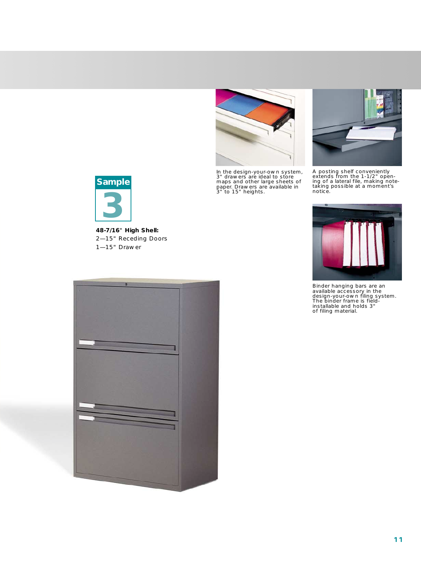

In the design-your-own system, 3" drawers are ideal to store maps and other large sheets of paper. Drawers are available in 3" to 15" heights.



A posting shelf conveniently extends from the 1-1/2" open-ing of a lateral file, making note-taking possible at a moment's notice.



**48-7/16**" **High Shell:** 2—15" Receding Doors 1—15" Drawer





Binder hanging bars are an available accessory in the design-your-own filing system. The binder frame is field-installable and holds 3" of filing material.